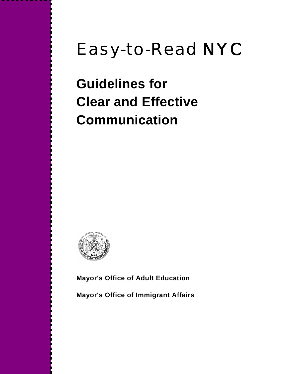# Easy-to-Read NYC

**Guidelines for Clear and Effective Communication** 



**Mayor's Office of Adult Education** 

**Mayor's Office of Immigrant Affairs**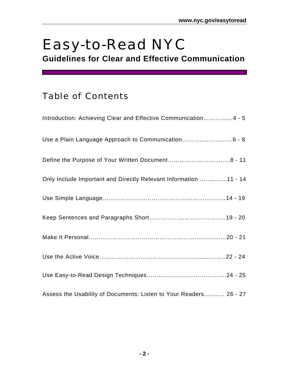## Easy-to-Read NYC

**Guidelines for Clear and Effective Communication**

### Table of Contents

| Introduction: Achieving Clear and Effective Communication4 - 5    |
|-------------------------------------------------------------------|
|                                                                   |
|                                                                   |
| Only Include Important and Directly Relevant Information 11 - 14  |
|                                                                   |
|                                                                   |
|                                                                   |
|                                                                   |
|                                                                   |
| Assess the Usability of Documents: Listen to Your Readers 26 - 27 |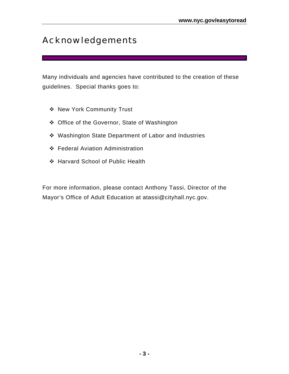### Acknowledgements

Many individuals and agencies have contributed to the creation of these guidelines. Special thanks goes to:

- ◆ New York Community Trust
- ◆ Office of the Governor, State of Washington
- Washington State Department of Labor and Industries
- Federal Aviation Administration
- Harvard School of Public Health

For more information, please contact Anthony Tassi, Director of the Mayor's Office of Adult Education at atassi@cityhall.nyc.gov.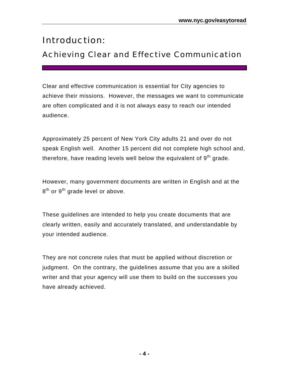### Introduction:

### Achieving Clear and Effective Communication

Clear and effective communication is essential for City agencies to achieve their missions. However, the messages we want to communicate are often complicated and it is not always easy to reach our intended audience.

Approximately 25 percent of New York City adults 21 and over do not speak English well. Another 15 percent did not complete high school and, therefore, have reading levels well below the equivalent of  $9<sup>th</sup>$  grade.

However, many government documents are written in English and at the 8<sup>th</sup> or 9<sup>th</sup> grade level or above.

These guidelines are intended to help you create documents that are clearly written, easily and accurately translated, and understandable by your intended audience.

They are not concrete rules that must be applied without discretion or judgment. On the contrary, the guidelines assume that you are a skilled writer and that your agency will use them to build on the successes you have already achieved.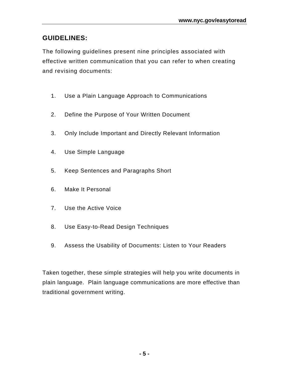#### **GUIDELINES:**

The following guidelines present nine principles associated with effective written communication that you can refer to when creating and revising documents:

- 1. Use a Plain Language Approach to Communications
- 2. Define the Purpose of Your Written Document
- 3. Only Include Important and Directly Relevant Information
- 4. Use Simple Language
- 5. Keep Sentences and Paragraphs Short
- 6. Make It Personal
- 7. Use the Active Voice
- 8. Use Easy-to-Read Design Techniques
- 9. Assess the Usability of Documents: Listen to Your Readers

Taken together, these simple strategies will help you write documents in plain language. Plain language communications are more effective than traditional government writing.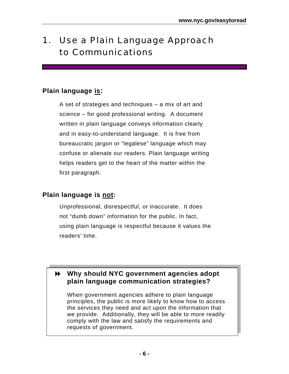## 1. Use a Plain Language Approach to Communications

#### **Plain language is:**

A set of strategies and techniques – a mix of art and science – for good professional writing. A document written in plain language conveys information clearly and in easy-to-understand language. It is free from bureaucratic jargon or "legalese" language which may confuse or alienate our readers. Plain language writing helps readers get to the heart of the matter within the first paragraph.

### **Plain language is not:**

Unprofessional, disrespectful, or inaccurate. It does not "dumb down" information for the public. In fact, using plain language is respectful because it values the readers' time.

### **Why should NYC government agencies adopt plain language communication strategies?**

When government agencies adhere to plain language principles, the public is more likely to know how to access the services they need and act upon the information that we provide. Additionally, they will be able to more readily comply with the law and satisfy the requirements and requests of government.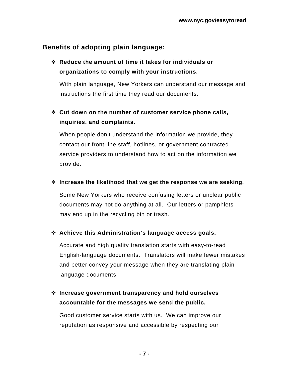#### **Benefits of adopting plain language:**

 **Reduce the amount of time it takes for individuals or organizations to comply with your instructions.** 

With plain language, New Yorkers can understand our message and instructions the first time they read our documents.

#### **Cut down on the number of customer service phone calls, inquiries, and complaints.**

When people don't understand the information we provide, they contact our front-line staff, hotlines, or government contracted service providers to understand how to act on the information we provide.

#### **Increase the likelihood that we get the response we are seeking.**

Some New Yorkers who receive confusing letters or unclear public documents may not do anything at all. Our letters or pamphlets may end up in the recycling bin or trash.

#### **Achieve this Administration's language access goals.**

Accurate and high quality translation starts with easy-to-read English-language documents. Translators will make fewer mistakes and better convey your message when they are translating plain language documents.

#### **Increase government transparency and hold ourselves accountable for the messages we send the public.**

Good customer service starts with us. We can improve our reputation as responsive and accessible by respecting our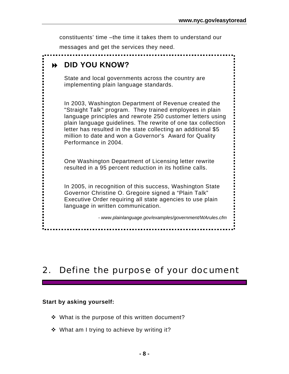constituents' time –the time it takes them to understand our messages and get the services they need.  **DID YOU KNOW?**  State and local governments across the country are implementing plain language standards. In 2003, Washington Department of Revenue created the "Straight Talk" program. They trained employees in plain language principles and rewrote 250 customer letters using plain language guidelines. The rewrite of one tax collection letter has resulted in the state collecting an additional \$5 million to date and won a Governor's Award for Quality Performance in 2004. One Washington Department of Licensing letter rewrite resulted in a 95 percent reduction in its hotline calls. In 2005, in recognition of this success, Washington State Governor Christine O. Gregoire signed a "Plain Talk" Executive Order requiring all state agencies to use plain language in written communication. *- www.plainlanguage.gov/examples/government/WArules.cfm*  

### 2. Define the purpose of your document

#### **Start by asking yourself:**

- ❖ What is the purpose of this written document?
- ❖ What am I trying to achieve by writing it?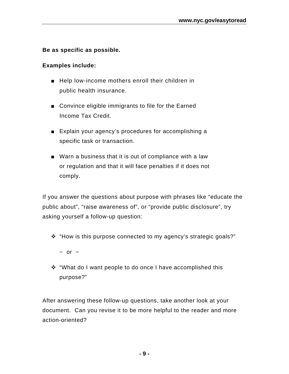#### **Be as specific as possible.**

#### **Examples include:**

- Help low-income mothers enroll their children in public health insurance.
- Convince eligible immigrants to file for the Earned Income Tax Credit.
- Explain your agency's procedures for accomplishing a specific task or transaction.
- Warn a business that it is out of compliance with a law or regulation and that it will face penalties if it does not comply.

If you answer the questions about purpose with phrases like "educate the public about", "raise awareness of", or "provide public disclosure", try asking yourself a follow-up question:

- "How is this purpose connected to my agency's strategic goals?"
	- $\sim$  or  $\sim$
- "What do I want people to do once I have accomplished this purpose?"

After answering these follow-up questions, take another look at your document. Can you revise it to be more helpful to the reader and more action-oriented?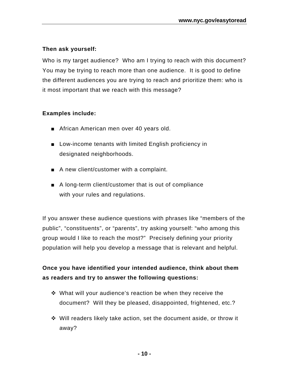#### **Then ask yourself:**

Who is my target audience? Who am I trying to reach with this document? You may be trying to reach more than one audience. It is good to define the different audiences you are trying to reach and prioritize them: who is it most important that we reach with this message?

#### **Examples include:**

- African American men over 40 years old.
- Low-income tenants with limited English proficiency in designated neighborhoods.
- A new client/customer with a complaint.
- A long-term client/customer that is out of compliance with your rules and regulations.

If you answer these audience questions with phrases like "members of the public", "constituents", or "parents", try asking yourself: "who among this group would I like to reach the most?" Precisely defining your priority population will help you develop a message that is relevant and helpful.

#### **Once you have identified your intended audience, think about them as readers and try to answer the following questions:**

- What will your audience's reaction be when they receive the document? Will they be pleased, disappointed, frightened, etc.?
- Will readers likely take action, set the document aside, or throw it away?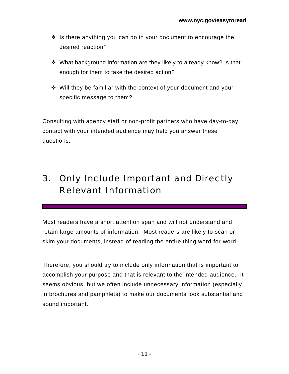- $\cdot \cdot$  Is there anything you can do in your document to encourage the desired reaction?
- What background information are they likely to already know? Is that enough for them to take the desired action?
- Will they be familiar with the context of your document and your specific message to them?

Consulting with agency staff or non-profit partners who have day-to-day contact with your intended audience may help you answer these questions.

## 3. Only Include Important and Directly Relevant Information

Most readers have a short attention span and will not understand and retain large amounts of information. Most readers are likely to scan or skim your documents, instead of reading the entire thing word-for-word.

Therefore, you should try to include only information that is important to accomplish your purpose and that is relevant to the intended audience. It seems obvious, but we often include unnecessary information (especially in brochures and pamphlets) to make our documents look substantial and sound important.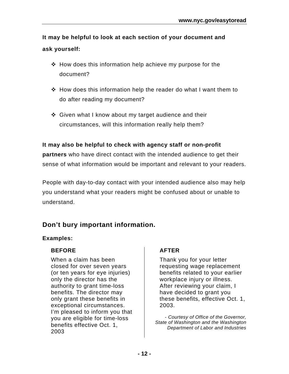**It may be helpful to look at each section of your document and ask yourself:**

- $\div$  How does this information help achieve my purpose for the document?
- $\div$  How does this information help the reader do what I want them to do after reading my document?
- ❖ Given what I know about my target audience and their circumstances, will this information really help them?

#### **It may also be helpful to check with agency staff or non-profit**

**partners** who have direct contact with the intended audience to get their sense of what information would be important and relevant to your readers.

People with day-to-day contact with your intended audience also may help you understand what your readers might be confused about or unable to understand.

### **Don't bury important information.**

#### **Examples:**

#### **BEFORE**

When a claim has been closed for over seven years (or ten years for eye injuries) only the director has the authority to grant time-loss benefits. The director may only grant these benefits in exceptional circumstances. I'm pleased to inform you that you are eligible for time-loss benefits effective Oct. 1, 2003

#### **AFTER**

Thank you for your letter requesting wage replacement benefits related to your earlier workplace injury or illness. After reviewing your claim, I have decided to grant you these benefits, effective Oct. 1, 2003.

*- Courtesy of Office of the Governor, State of Washington and the Washington Department of Labor and Industries*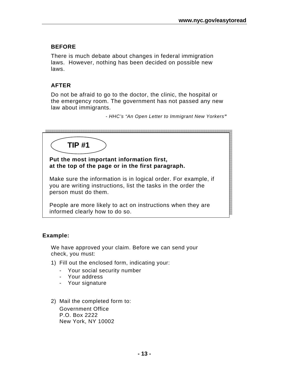#### **BEFORE**

There is much debate about changes in federal immigration laws. However, nothing has been decided on possible new laws.

#### **AFTER**

Do not be afraid to go to the doctor, the clinic, the hospital or the emergency room. The government has not passed any new law about immigrants.

*- HHC's "An Open Letter to Immigrant New Yorkers"* 





#### **Put the most important information first, at the top of the page or in the first paragraph.**

Make sure the information is in logical order. For example, if you are writing instructions, list the tasks in the order the person must do them.

People are more likely to act on instructions when they are informed clearly how to do so.

#### **Example:**

We have approved your claim. Before we can send your check, you must:

- 1) Fill out the enclosed form, indicating your:
	- Your social security number
	- Your address
	- Your signature
- 2) Mail the completed form to: Government Office P.O. Box 2222 New York, NY 10002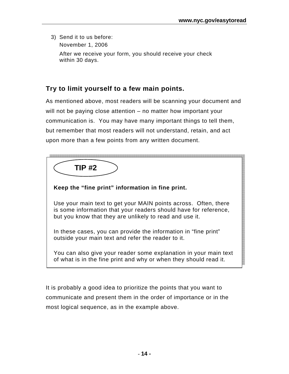3) Send it to us before: November 1, 2006

> After we receive your form, you should receive your check within 30 days.

#### **Try to limit yourself to a few main points.**

As mentioned above, most readers will be scanning your document and will not be paying close attention – no matter how important your communication is. You may have many important things to tell them, but remember that most readers will not understand, retain, and act upon more than a few points from any written document.

| TIP #2 |  |
|--------|--|
|        |  |

**Keep the "fine print" information in fine print.** 

Use your main text to get your MAIN points across. Often, there is some information that your readers should have for reference, but you know that they are unlikely to read and use it.

In these cases, you can provide the information in "fine print" outside your main text and refer the reader to it.

You can also give your reader some explanation in your main text of what is in the fine print and why or when they should read it.

It is probably a good idea to prioritize the points that you want to communicate and present them in the order of importance or in the most logical sequence, as in the example above.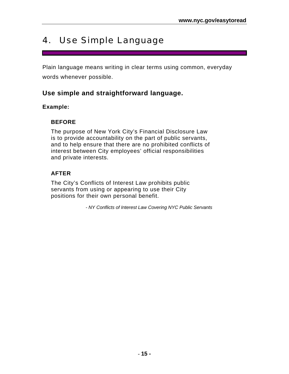### 4. Use Simple Language

Plain language means writing in clear terms using common, everyday words whenever possible.

#### **Use simple and straightforward language.**

#### **Example:**

#### **BEFORE**

The purpose of New York City's Financial Disclosure Law is to provide accountability on the part of public servants, and to help ensure that there are no prohibited conflicts of interest between City employees' official responsibilities and private interests.

#### **AFTER**

The City's Conflicts of Interest Law prohibits public servants from using or appearing to use their City positions for their own personal benefit.

*- NY Conflicts of Interest Law Covering NYC Public Servants*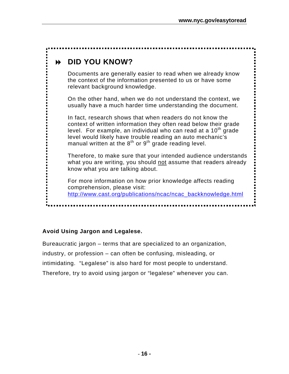### **DID YOU KNOW?**  Documents are generally easier to read when we already know the context of the information presented to us or have some relevant background knowledge. On the other hand, when we do not understand the context, we usually have a much harder time understanding the document. In fact, research shows that when readers do not know the context of written information they often read below their grade level. For example, an individual who can read at a 10<sup>th</sup> grade level would likely have trouble reading an auto mechanic's manual written at the  $8<sup>th</sup>$  or  $9<sup>th</sup>$  grade reading level. Therefore, to make sure that your intended audience understands what you are writing, you should not assume that readers already know what you are talking about. For more information on how prior knowledge affects reading comprehension, please visit: http://www.cast.org/publications/ncac/ncac\_backknowledge.html

#### **Avoid Using Jargon and Legalese.**

Bureaucratic jargon – terms that are specialized to an organization, industry, or profession – can often be confusing, misleading, or intimidating. "Legalese" is also hard for most people to understand. Therefore, try to avoid using jargon or "legalese" whenever you can.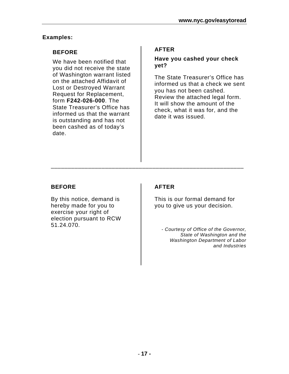#### **Examples:**

#### **BEFORE**

We have been notified that you did not receive the state of Washington warrant listed on the attached Affidavit of Lost or Destroyed Warrant Request for Replacement, form **F242-026-000**. The State Treasurer's Office has informed us that the warrant is outstanding and has not been cashed as of today's date.

#### **AFTER**

#### **Have you cashed your check yet?**

The State Treasurer's Office has informed us that a check we sent you has not been cashed. Review the attached legal form. It will show the amount of the check, what it was for, and the date it was issued.

#### **BEFORE**

By this notice, demand is hereby made for you to exercise your right of election pursuant to RCW 51.24.070.

#### **AFTER**

\_\_\_\_\_\_\_\_\_\_\_\_\_\_\_\_\_\_\_\_\_\_\_\_\_\_\_\_\_\_\_\_\_\_\_\_\_\_\_\_\_\_\_\_\_\_\_\_\_\_\_\_\_\_\_\_\_

This is our formal demand for you to give us your decision.

*- Courtesy of Office of the Governor, State of Washington and the Washington Department of Labor and Industries*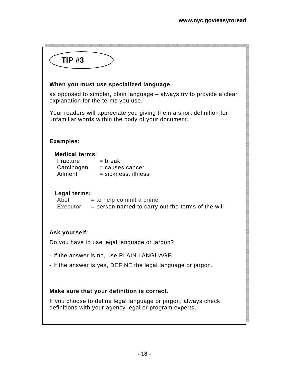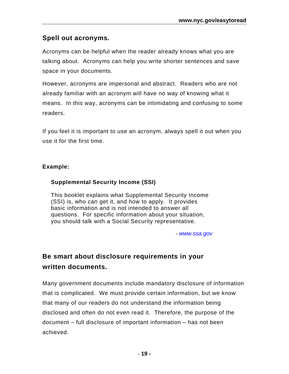#### **Spell out acronyms.**

Acronyms can be helpful when the reader already knows what you are talking about. Acronyms can help you write shorter sentences and save space in your documents.

However, acronyms are impersonal and abstract. Readers who are not already familiar with an acronym will have no way of knowing what it means. In this way, acronyms can be intimidating and confusing to some readers.

If you feel it is important to use an acronym, always spell it out when you use it for the first time.

#### **Example:**

#### **Supplemental Security Income (SSI)**

This booklet explains what Supplemental Security Income (SSI) is, who can get it, and how to apply. It provides basic information and is not intended to answer all questions. For specific information about your situation, you should talk with a Social Security representative.

*- www.ssa.gov*

### **Be smart about disclosure requirements in your written documents.**

Many government documents include mandatory disclosure of information that is complicated. We must provide certain information, but we know that many of our readers do not understand the information being disclosed and often do not even read it. Therefore, the purpose of the document – full disclosure of important information – has not been achieved.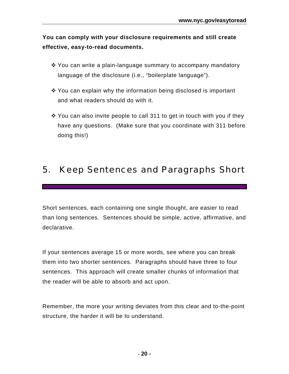**You can comply with your disclosure requirements and still create effective, easy-to-read documents.**

- $\cdot$  You can write a plain-language summary to accompany mandatory language of the disclosure (i.e., "boilerplate language").
- ❖ You can explain why the information being disclosed is important and what readers should do with it.
- $\cdot$  You can also invite people to call 311 to get in touch with you if they have any questions. (Make sure that you coordinate with 311 before doing this!)

### 5. Keep Sentences and Paragraphs Short

Short sentences, each containing one single thought, are easier to read than long sentences. Sentences should be simple, active, affirmative, and declarative.

If your sentences average 15 or more words, see where you can break them into two shorter sentences. Paragraphs should have three to four sentences. This approach will create smaller chunks of information that the reader will be able to absorb and act upon.

Remember, the more your writing deviates from this clear and to-the-point structure, the harder it will be to understand.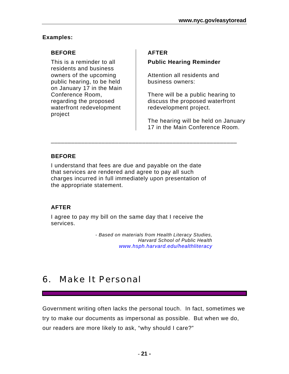#### **Examples:**

#### **BEFORE**

This is a reminder to all residents and business owners of the upcoming public hearing, to be held on January 17 in the Main Conference Room, regarding the proposed waterfront redevelopment project

#### **AFTER**

#### **Public Hearing Reminder**

Attention all residents and business owners:

There will be a public hearing to discuss the proposed waterfront redevelopment project.

The hearing will be held on January 17 in the Main Conference Room.

#### **BEFORE**

I understand that fees are due and payable on the date that services are rendered and agree to pay all such charges incurred in full immediately upon presentation of the appropriate statement.

\_\_\_\_\_\_\_\_\_\_\_\_\_\_\_\_\_\_\_\_\_\_\_\_\_\_\_\_\_\_\_\_\_\_\_\_\_\_\_\_\_\_\_\_\_\_\_\_\_\_\_\_\_\_\_

#### **AFTER**

I agree to pay my bill on the same day that I receive the services.

> *- Based on materials from Health Literacy Studies, Harvard School of Public Health www.hsph.harvard.edu/healthliteracy*

### 6. Make It Personal

Government writing often lacks the personal touch. In fact, sometimes we try to make our documents as impersonal as possible. But when we do, our readers are more likely to ask, "why should I care?"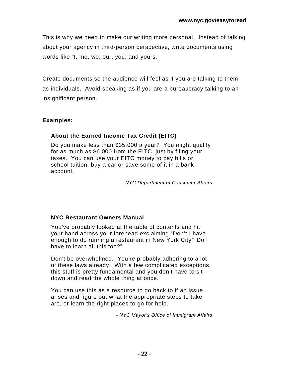This is why we need to make our writing more personal. Instead of talking about your agency in third-person perspective, write documents using words like "I, me, we, our, you, and yours."

Create documents so the audience will feel as if you are talking to them as individuals. Avoid speaking as if you are a bureaucracy talking to an insignificant person.

#### **Examples:**

#### **About the Earned Income Tax Credit (EITC)**

Do you make less than \$35,000 a year? You might qualify for as much as \$6,000 from the EITC, just by filing your taxes. You can use your EITC money to pay bills or school tuition, buy a car or save some of it in a bank account.

*- NYC Department of Consumer Affairs* 

#### **NYC Restaurant Owners Manual**

You've probably looked at the table of contents and hit your hand across your forehead exclaiming "Don't I have enough to do running a restaurant in New York City? Do I have to learn all this too?"

Don't be overwhelmed. You're probably adhering to a lot of these laws already. With a few complicated exceptions, this stuff is pretty fundamental and you don't have to sit down and read the whole thing at once.

You can use this as a resource to go back to if an issue arises and figure out what the appropriate steps to take are, or learn the right places to go for help.

*- NYC Mayor's Office of Immigrant Affairs*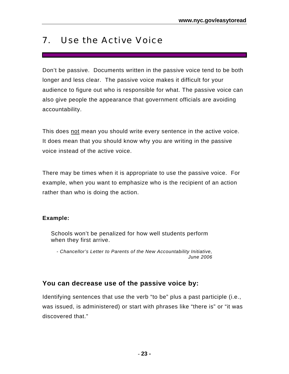### 7. Use the Active Voice

Don't be passive. Documents written in the passive voice tend to be both longer and less clear. The passive voice makes it difficult for your audience to figure out who is responsible for what. The passive voice can also give people the appearance that government officials are avoiding accountability.

This does not mean you should write every sentence in the active voice. It does mean that you should know why you are writing in the passive voice instead of the active voice.

There may be times when it is appropriate to use the passive voice. For example, when you want to emphasize who is the recipient of an action rather than who is doing the action.

#### **Example:**

Schools won't be penalized for how well students perform when they first arrive.

*- Chancellor's Letter to Parents of the New Accountability Initiative, June 2006* 

#### **You can decrease use of the passive voice by:**

Identifying sentences that use the verb "to be" plus a past participle (i.e., was issued, is administered) or start with phrases like "there is" or "it was discovered that."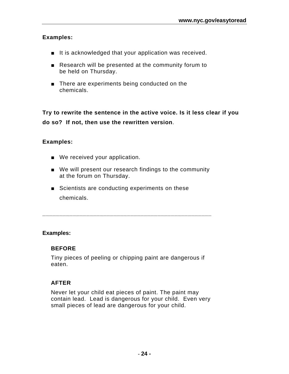#### **Examples:**

- It is acknowledged that your application was received.
- Research will be presented at the community forum to be held on Thursday.
- There are experiments being conducted on the chemicals.

**Try to rewrite the sentence in the active voice. Is it less clear if you do so? If not, then use the rewritten version**.

#### **Examples:**

- We received your application.
- We will present our research findings to the community at the forum on Thursday.
- Scientists are conducting experiments on these chemicals.

#### **Examples:**

#### **BEFORE**

Tiny pieces of peeling or chipping paint are dangerous if eaten.

**\_\_\_\_\_\_\_\_\_\_\_\_\_\_\_\_\_\_\_\_\_\_\_\_\_\_\_\_\_\_\_\_\_\_\_\_\_\_\_\_\_\_\_\_\_\_\_\_\_\_** 

#### **AFTER**

Never let your child eat pieces of paint. The paint may contain lead. Lead is dangerous for your child. Even very small pieces of lead are dangerous for your child.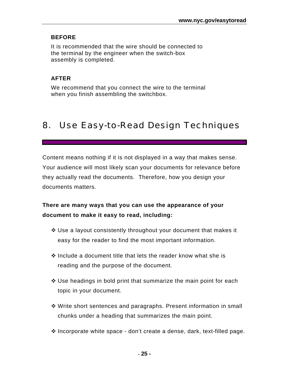#### **BEFORE**

It is recommended that the wire should be connected to the terminal by the engineer when the switch-box assembly is completed.

#### **AFTER**

We recommend that you connect the wire to the terminal when you finish assembling the switchbox.

### 8. Use Easy-to-Read Design Techniques

Content means nothing if it is not displayed in a way that makes sense. Your audience will most likely scan your documents for relevance before they actually read the documents. Therefore, how you design your documents matters.

#### **There are many ways that you can use the appearance of your document to make it easy to read, including:**

- Use a layout consistently throughout your document that makes it easy for the reader to find the most important information.
- $\clubsuit$  Include a document title that lets the reader know what she is reading and the purpose of the document.
- $\cdot$  Use headings in bold print that summarize the main point for each topic in your document.
- Write short sentences and paragraphs. Present information in small chunks under a heading that summarizes the main point.
- Incorporate white space don't create a dense, dark, text-filled page.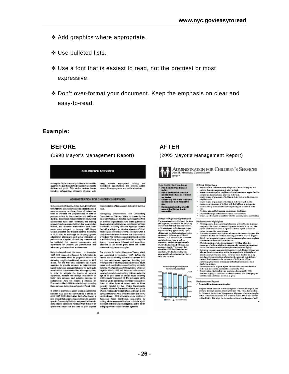- $\triangle$  Add graphics where appropriate.
- Use bulleted lists.
- Use a font that is easiest to read, not the prettiest or most expressive.
- Don't over-format your document. Keep the emphasis on clear and easy-to-read.

#### **Example:**

#### **BEFORE**

(1998 Mayor's Management Report)

#### CHILDREN'S SERVICES

Among the City's foremost priorities is the need to<br>enhance the quality and effectiveness of sentose is<br>children and youth. This section reviews issues<br>including safeguarding. Oildren's physical well-

being: summer employment, training, and<br>recrealizeal opportunities; the juvenile justice<br>system;library.programs; and public education.

#### ADMINISTRATION FOR CHILDREN'S SERVICES

- **26 -**

45

Enhancing Staff Quality. Since the Administration for Children's Services (ACS) was established as a<br>separate agency, a primary focus of reform has<br>been to increase the preparedness of staff in positions officel to the protection and welfare of<br>children. Educational requirements for newly hired consecutions have been enhanced. The training<br>program has been expanded from four weeks to len<br>program has been expanded from four weeks to len months, and estimates examinations from best measurements must consider the quality of the control of the control of the control of the control of the control of the control of the control of the control of the measurement advanced graduate school achievements.

Neighborhood-Based Services. In November 1997 ACS released a Request for Information to<br>solicit comments about its proposed reforms for solid comments about its proposed reforms for<br>closing matches to denote the first contact and ACC and<br>denis. For the first first, contacts will require<br>based for proble survives in religibitions<br>has based for the second su these services during the early part of Flocal 1999.

In order to promote a closer working relationship between ACS and the communities it serves, in<br>April 1997 ACS's Manhattan tied office began a rent mer must and prediction and the state in<br>specific Community Districts, and permitted them to<br>carry emailer casekoats. Findings from this plat on lonal details will be used to plan allywide implementation of this program, to begin in Summer 1998

Interspency Coordination. The Coordinating Committee for Children, which is chaired by the<br>ACS Commissioner, includes representatives from AOS Conneistoner, includes representatives from<br>21 d'Elerant coparatista en la contrata de mateix y la different conneiston de vising regnant frat en accession de la different de finite de vising a different de la differen placement and permanency plan.

The protocol for instant Response Teams, which was completed in November 1997, defines the<br>Teams' role as sharing information between ACS Next compare in more than a sharing internal to be<br>seen ACS and the end of the end of the end of the second states in the<br>constraints are considered by the constraints consider cases, and coordinate<br>cases, and considering Spring 1998 for all ACS protective staff and NYPD<br>pairol officers. ACS will create a new position of parameters. From continuity, responsible for<br>making all necessary notifications to initiate a joint<br>response and follow-up investigation, and to ask as<br>a single-point of contact between agencies.

#### **AFTER**

(2005 Mayor's Management Report)



Kay Public Service Amees<br>- Poled chidmiran duseerd<br>- Poled<br>- Polé parachyead feder on anion is net benedict didner

- and in milles.<br>Emane Smaly neuri lication or a deption.<br>may lose based on the neurit of the
- 
- one.<br>Enuve access to quality, sale child<br>communities.<br>communities.

Scope of Agency Operations<br>
Scope of Agency Operations<br>
The Admissration for Children's Series<br>
(ACS) presentes control to use including<br>
of New York Chytels<br>
(From and finally a specifically defined and finally approxima



 $10^{100} - 10^{10}$ 

- 
- Critical Objectives<br>- Republished Material every slighter of decount regist, and<br>- Republished Material every slighter of the<br>- International equation of the state of the state of the state<br>- International decount or restr Increases account to quality, and glibral code based our stores to support families and process planetars or re-entry late footer case.<br>Monical process planetars or re-entry late footer case.<br>Monical particles and of the s
- ÷ ı.
- segments<br>and in the of placement of children in focus currently family members and placement of children with their skillage as appropriate.<br>Relations family involvement in service planning for children in focus<br>Relations
- same comprehensive more pouring or successively<br>can<br>be comprehensively comprehensively children.<br>Decrease the large of translation rando in tetra can.<br>Reserve whichly and secondary of delaison serious in comparities.
- 

÷

- Performance Highlights<br>• ACS repore to descend/o regist reports within 3 hours demomaginally. The overall number of allegations continues to decline. The percent of children involved in reported indicated reports of shows or
- 
- inequality the coerest contribute of all<br>space contents of the coerest coefficient in the local control in density<br>in the coefficient of the coefficient of the coefficient of the coefficient<br>of the space of the coefficien
- 

Performance Report<br>< Project diking from does and regist

Respond within 28 hours to every allegation of above and neglect, and<br>perform thereugh assessments of safety and risk. The Administration perform thereugh aments and a fastery and this. The Adhibitration<br>for Childran's Serious' (ACS) response to disguises of also<br>within 24 hours declined from Si.9 parent in Flaud 2004 to 96.4 person.<br>in Flord 2005. This digh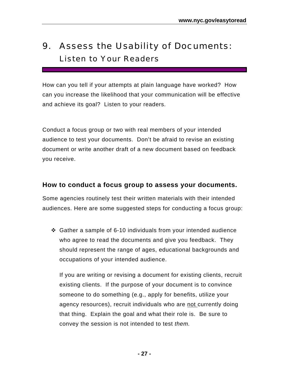### 9. Assess the Usability of Documents: Listen to Your Readers

How can you tell if your attempts at plain language have worked? How can you increase the likelihood that your communication will be effective and achieve its goal? Listen to your readers.

Conduct a focus group or two with real members of your intended audience to test your documents. Don't be afraid to revise an existing document or write another draft of a new document based on feedback you receive.

#### **How to conduct a focus group to assess your documents.**

Some agencies routinely test their written materials with their intended audiences. Here are some suggested steps for conducting a focus group:

 $\div$  Gather a sample of 6-10 individuals from your intended audience who agree to read the documents and give you feedback. They should represent the range of ages, educational backgrounds and occupations of your intended audience.

If you are writing or revising a document for existing clients, recruit existing clients. If the purpose of your document is to convince someone to do something (e.g., apply for benefits, utilize your agency resources), recruit individuals who are not currently doing that thing. Explain the goal and what their role is. Be sure to convey the session is not intended to test *them.*